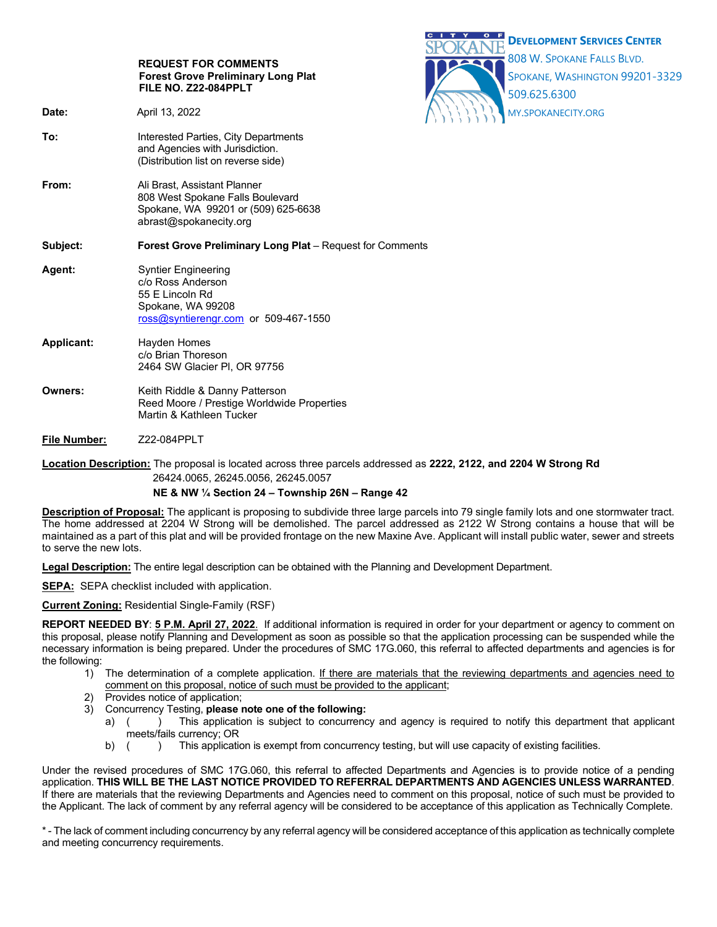|                                                                                                                                                               |                                                                                                                                   | $\mathbf{C}$<br>$O$ $F$<br><b>DEVELOPMENT SERVICES CENTER</b>                |
|---------------------------------------------------------------------------------------------------------------------------------------------------------------|-----------------------------------------------------------------------------------------------------------------------------------|------------------------------------------------------------------------------|
|                                                                                                                                                               | <b>REQUEST FOR COMMENTS</b><br><b>Forest Grove Preliminary Long Plat</b><br>FILE NO. Z22-084PPLT                                  | 808 W. SPOKANE FALLS BLVD.<br>SPOKANE, WASHINGTON 99201-3329<br>509.625.6300 |
| Date:                                                                                                                                                         | April 13, 2022                                                                                                                    | MY.SPOKANECITY.ORG                                                           |
| To:                                                                                                                                                           | Interested Parties, City Departments<br>and Agencies with Jurisdiction.<br>(Distribution list on reverse side)                    |                                                                              |
| From:                                                                                                                                                         | Ali Brast, Assistant Planner<br>808 West Spokane Falls Boulevard<br>Spokane, WA 99201 or (509) 625-6638<br>abrast@spokanecity.org |                                                                              |
| Subject:                                                                                                                                                      | <b>Forest Grove Preliminary Long Plat</b> – Request for Comments                                                                  |                                                                              |
| Agent:                                                                                                                                                        | <b>Syntier Engineering</b><br>c/o Ross Anderson<br>55 E Lincoln Rd<br>Spokane, WA 99208<br>ross@syntierengr.com or 509-467-1550   |                                                                              |
| <b>Applicant:</b>                                                                                                                                             | Hayden Homes<br>c/o Brian Thoreson<br>2464 SW Glacier PI, OR 97756                                                                |                                                                              |
| Owners:                                                                                                                                                       | Keith Riddle & Danny Patterson<br>Reed Moore / Prestige Worldwide Properties<br>Martin & Kathleen Tucker                          |                                                                              |
| <b>File Number:</b>                                                                                                                                           | Z22-084PPLT                                                                                                                       |                                                                              |
| <b>Location Description:</b> The proposal is located across three parcels addressed as 2222, 2122, and 2204 W Strong Rd<br>26424.0065, 26245.0056, 26245.0057 |                                                                                                                                   |                                                                              |

# **NE & NW ¼ Section 24 – Township 26N – Range 42**

**Description of Proposal:** The applicant is proposing to subdivide three large parcels into 79 single family lots and one stormwater tract. The home addressed at 2204 W Strong will be demolished. The parcel addressed as 2122 W Strong contains a house that will be maintained as a part of this plat and will be provided frontage on the new Maxine Ave. Applicant will install public water, sewer and streets to serve the new lots.

**Legal Description:** The entire legal description can be obtained with the Planning and Development Department.

**SEPA:** SEPA checklist included with application.

**Current Zoning:** Residential Single-Family (RSF)

**REPORT NEEDED BY**: **5 P.M. April 27, 2022**. If additional information is required in order for your department or agency to comment on this proposal, please notify Planning and Development as soon as possible so that the application processing can be suspended while the necessary information is being prepared. Under the procedures of SMC 17G.060, this referral to affected departments and agencies is for the following:

- 1) The determination of a complete application. If there are materials that the reviewing departments and agencies need to comment on this proposal, notice of such must be provided to the applicant;
- Provides notice of application;
- 3) Concurrency Testing, **please note one of the following:**
	- a) () This application is subject to concurrency and agency is required to notify this department that applicant meets/fails currency; OR
	- b) ( ) This application is exempt from concurrency testing, but will use capacity of existing facilities.

Under the revised procedures of SMC 17G.060, this referral to affected Departments and Agencies is to provide notice of a pending application. **THIS WILL BE THE LAST NOTICE PROVIDED TO REFERRAL DEPARTMENTS AND AGENCIES UNLESS WARRANTED**. If there are materials that the reviewing Departments and Agencies need to comment on this proposal, notice of such must be provided to the Applicant. The lack of comment by any referral agency will be considered to be acceptance of this application as Technically Complete.

\* - The lack of comment including concurrency by any referral agency will be considered acceptance of this application as technically complete and meeting concurrency requirements.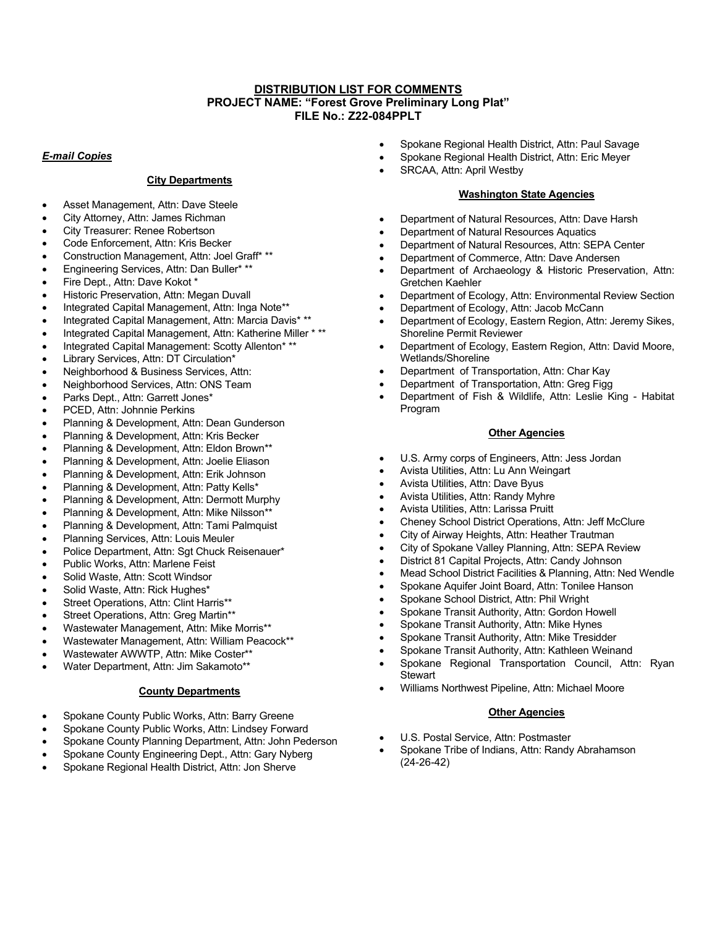## **DISTRIBUTION LIST FOR COMMENTS PROJECT NAME: "Forest Grove Preliminary Long Plat" FILE No.: Z22-084PPLT**

#### *E-mail Copies*

## **City Departments**

- Asset Management, Attn: Dave Steele
- City Attorney, Attn: James Richman
- City Treasurer: Renee Robertson
- Code Enforcement, Attn: Kris Becker
- Construction Management, Attn: Joel Graff\* \*\*
- Engineering Services, Attn: Dan Buller\* \*\*
- Fire Dept., Attn: Dave Kokot \*
- Historic Preservation, Attn: Megan Duvall
- Integrated Capital Management, Attn: Inga Note\*\*
- Integrated Capital Management, Attn: Marcia Davis\* \*\*
- Integrated Capital Management, Attn: Katherine Miller \* \*\*
- Integrated Capital Management: Scotty Allenton\* \*\*
- Library Services, Attn: DT Circulation\*
- Neighborhood & Business Services, Attn:
- Neighborhood Services, Attn: ONS Team
- Parks Dept., Attn: Garrett Jones\*
- PCED, Attn: Johnnie Perkins
- Planning & Development, Attn: Dean Gunderson
- Planning & Development, Attn: Kris Becker
- Planning & Development, Attn: Eldon Brown\*\*
- Planning & Development, Attn: Joelie Eliason
- Planning & Development, Attn: Erik Johnson
- Planning & Development, Attn: Patty Kells\*
- Planning & Development, Attn: Dermott Murphy
- Planning & Development, Attn: Mike Nilsson\*\*
- Planning & Development, Attn: Tami Palmquist
- Planning Services, Attn: Louis Meuler
- Police Department, Attn: Sgt Chuck Reisenauer\*
- Public Works, Attn: Marlene Feist
- Solid Waste, Attn: Scott Windsor
- Solid Waste, Attn: Rick Hughes\*
- Street Operations, Attn: Clint Harris\*\*
- Street Operations, Attn: Greg Martin\*\*
- Wastewater Management, Attn: Mike Morris\*\*
- Wastewater Management, Attn: William Peacock\*\*
- Wastewater AWWTP, Attn: Mike Coster\*\*
- Water Department, Attn: Jim Sakamoto\*\*

### **County Departments**

- Spokane County Public Works, Attn: Barry Greene
- Spokane County Public Works, Attn: Lindsey Forward
- Spokane County Planning Department, Attn: John Pederson
- Spokane County Engineering Dept., Attn: Gary Nyberg
- Spokane Regional Health District, Attn: Jon Sherve
- Spokane Regional Health District, Attn: Paul Savage
- Spokane Regional Health District, Attn: Eric Meyer
- SRCAA, Attn: April Westby

### **Washington State Agencies**

- Department of Natural Resources, Attn: Dave Harsh
- Department of Natural Resources Aquatics
- Department of Natural Resources, Attn: SEPA Center
- Department of Commerce, Attn: Dave Andersen
- Department of Archaeology & Historic Preservation, Attn: Gretchen Kaehler
- Department of Ecology, Attn: Environmental Review Section
- Department of Ecology, Attn: Jacob McCann
- Department of Ecology, Eastern Region, Attn: Jeremy Sikes, Shoreline Permit Reviewer
- Department of Ecology, Eastern Region, Attn: David Moore, Wetlands/Shoreline
- Department of Transportation, Attn: Char Kay
- Department of Transportation, Attn: Greg Figg
- Department of Fish & Wildlife, Attn: Leslie King Habitat Program

#### **Other Agencies**

- U.S. Army corps of Engineers, Attn: Jess Jordan
- Avista Utilities, Attn: Lu Ann Weingart
- Avista Utilities, Attn: Dave Byus
- Avista Utilities, Attn: Randy Myhre
- Avista Utilities, Attn: Larissa Pruitt
- Cheney School District Operations, Attn: Jeff McClure
- City of Airway Heights, Attn: Heather Trautman
- City of Spokane Valley Planning, Attn: SEPA Review
- District 81 Capital Projects, Attn: Candy Johnson
- Mead School District Facilities & Planning, Attn: Ned Wendle
- Spokane Aquifer Joint Board, Attn: Tonilee Hanson
- Spokane School District, Attn: Phil Wright
- Spokane Transit Authority, Attn: Gordon Howell
- Spokane Transit Authority, Attn: Mike Hynes
- Spokane Transit Authority, Attn: Mike Tresidder
- Spokane Transit Authority, Attn: Kathleen Weinand
- Spokane Regional Transportation Council, Attn: Ryan **Stewart**
- Williams Northwest Pipeline, Attn: Michael Moore

#### **Other Agencies**

- U.S. Postal Service, Attn: Postmaster
- Spokane Tribe of Indians, Attn: Randy Abrahamson (24-26-42)